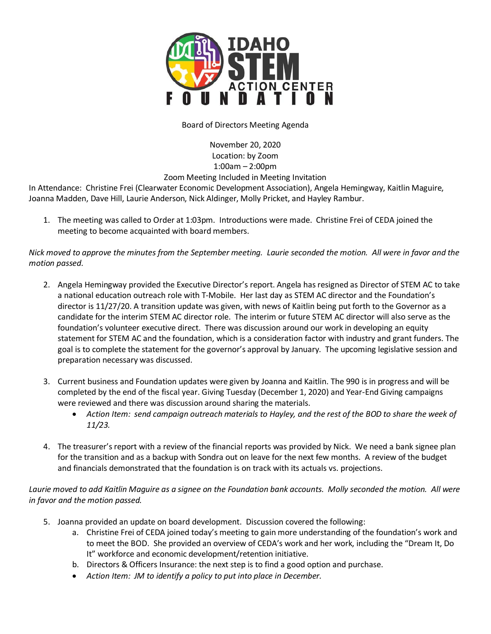

## Board of Directors Meeting Agenda

November 20, 2020 Location: by Zoom 1:00am – 2:00pm

## Zoom Meeting Included in Meeting Invitation

In Attendance: Christine Frei (Clearwater Economic Development Association), Angela Hemingway, Kaitlin Maguire, Joanna Madden, Dave Hill, Laurie Anderson, Nick Aldinger, Molly Pricket, and Hayley Rambur.

1. The meeting was called to Order at 1:03pm. Introductions were made. Christine Frei of CEDA joined the meeting to become acquainted with board members.

*Nick moved to approve the minutes from the September meeting. Laurie seconded the motion. All were in favor and the motion passed.*

- 2. Angela Hemingway provided the Executive Director's report. Angela has resigned as Director of STEM AC to take a national education outreach role with T-Mobile. Her last day as STEM AC director and the Foundation's director is 11/27/20. A transition update was given, with news of Kaitlin being put forth to the Governor as a candidate for the interim STEM AC director role. The interim or future STEM AC director will also serve as the foundation's volunteer executive direct. There was discussion around our work in developing an equity statement for STEM AC and the foundation, which is a consideration factor with industry and grant funders. The goal is to complete the statement for the governor's approval by January. The upcoming legislative session and preparation necessary was discussed.
- 3. Current business and Foundation updates were given by Joanna and Kaitlin. The 990 is in progress and will be completed by the end of the fiscal year. Giving Tuesday (December 1, 2020) and Year-End Giving campaigns were reviewed and there was discussion around sharing the materials.
	- *Action Item: send campaign outreach materials to Hayley, and the rest of the BOD to share the week of 11/23.*
- 4. The treasurer's report with a review of the financial reports was provided by Nick. We need a bank signee plan for the transition and as a backup with Sondra out on leave for the next few months. A review of the budget and financials demonstrated that the foundation is on track with its actuals vs. projections.

*Laurie moved to add Kaitlin Maguire as a signee on the Foundation bank accounts. Molly seconded the motion. All were in favor and the motion passed.* 

- 5. Joanna provided an update on board development. Discussion covered the following:
	- a. Christine Frei of CEDA joined today's meeting to gain more understanding of the foundation's work and to meet the BOD. She provided an overview of CEDA's work and her work, including the "Dream It, Do It" workforce and economic development/retention initiative.
	- b. Directors & Officers Insurance: the next step is to find a good option and purchase.
	- *Action Item: JM to identify a policy to put into place in December.*